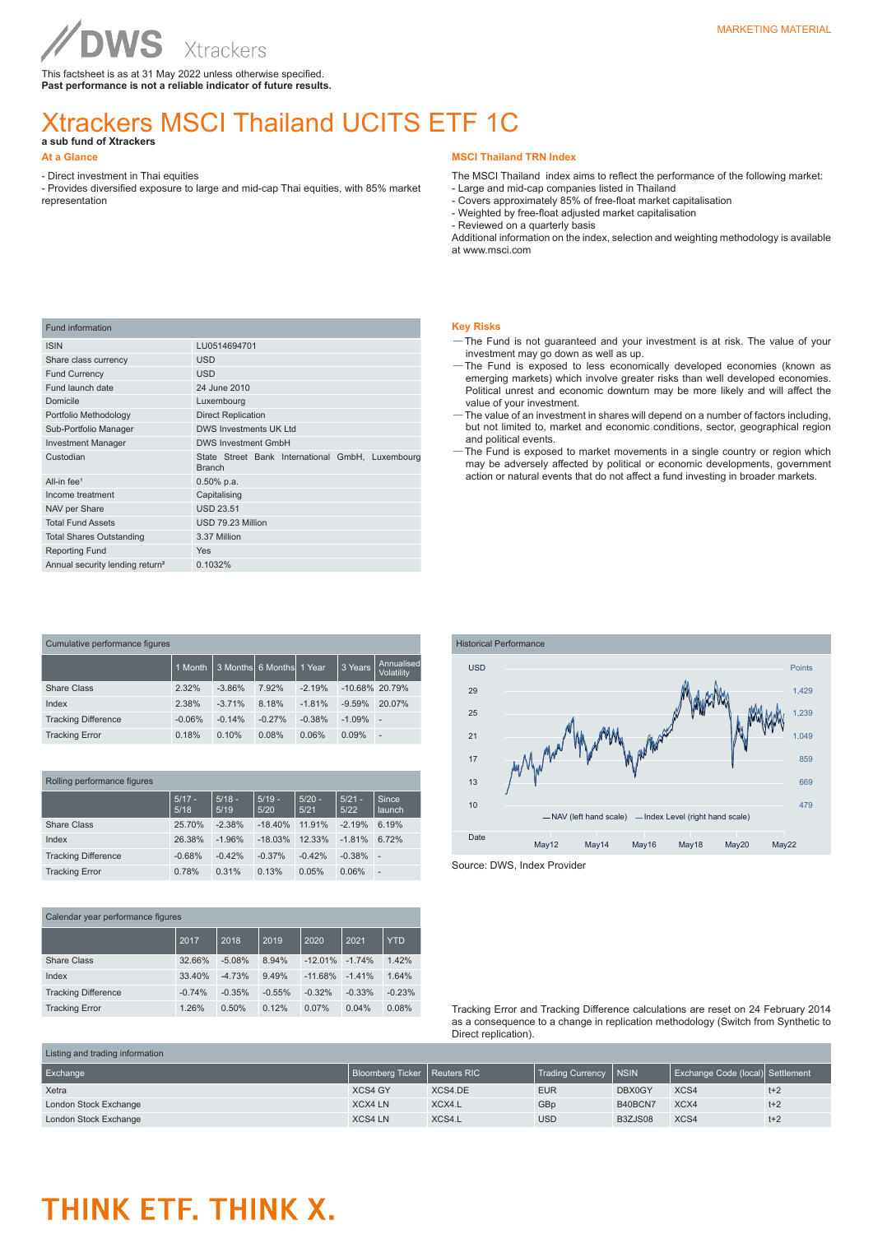This factsheet is as at 31 May 2022 unless otherwise specified. **Past performance is not a reliable indicator of future results.**

## Xtrackers MSCI Thailand UCITS ETF 1C

**a sub fund of Xtrackers** 

- Direct investment in Thai equities

- Provides diversified exposure to large and mid-cap Thai equities, with 85% market representation

### **MSCI Thailand TRN Index**

The MSCI Thailand index aims to reflect the performance of the following market: - Large and mid-cap companies listed in Thailand

- Covers approximately 85% of free-float market capitalisation
- Weighted by free-float adjusted market capitalisation
- Reviewed on a quarterly basis

Additional information on the index, selection and weighting methodology is available at www.msci.com

| <b>Fund information</b>                     |                                                                   |
|---------------------------------------------|-------------------------------------------------------------------|
| <b>ISIN</b>                                 | LU0514694701                                                      |
| Share class currency                        | <b>USD</b>                                                        |
| <b>Fund Currency</b>                        | <b>USD</b>                                                        |
| Fund launch date                            | 24 June 2010                                                      |
| Domicile                                    | Luxembourg                                                        |
| Portfolio Methodology                       | <b>Direct Replication</b>                                         |
| Sub-Portfolio Manager                       | <b>DWS Investments UK Ltd</b>                                     |
| <b>Investment Manager</b>                   | <b>DWS Investment GmbH</b>                                        |
| Custodian                                   | State Street Bank International GmbH, Luxembourg<br><b>Branch</b> |
| All-in fee <sup>1</sup>                     | $0.50\%$ p.a.                                                     |
| Income treatment                            | Capitalising                                                      |
| NAV per Share                               | <b>USD 23.51</b>                                                  |
| <b>Total Fund Assets</b>                    | USD 79.23 Million                                                 |
| <b>Total Shares Outstanding</b>             | 3.37 Million                                                      |
| <b>Reporting Fund</b>                       | <b>Yes</b>                                                        |
| Annual security lending return <sup>2</sup> | 0.1032%                                                           |

| Cumulative performance figures |          |          |                          |          |                   |                          |
|--------------------------------|----------|----------|--------------------------|----------|-------------------|--------------------------|
|                                | 1 Month  |          | 3 Months 6 Months 1 Year |          | 3 Years           | Annualised<br>Volatility |
| Share Class                    | 2.32%    | $-3.86%$ | 7.92%                    | $-2.19%$ | $-10.68\%$ 20.79% |                          |
| Index                          | 2.38%    | $-3.71%$ | 8.18%                    | $-1.81%$ | $-9.59%$          | 20.07%                   |
| <b>Tracking Difference</b>     | $-0.06%$ | $-0.14%$ | $-0.27%$                 | $-0.38%$ | $-1.09%$          | ÷,                       |
| <b>Tracking Error</b>          | 0.18%    | 0.10%    | 0.08%                    | 0.06%    | 0.09%             | -                        |

| Rolling performance figures |                  |                  |                  |                  |                  |                        |
|-----------------------------|------------------|------------------|------------------|------------------|------------------|------------------------|
|                             | $5/17 -$<br>5/18 | $5/18 -$<br>5/19 | $5/19 -$<br>5/20 | $5/20 -$<br>5/21 | $5/21 -$<br>5/22 | Since<br><b>launch</b> |
| Share Class                 | 25.70%           | $-2.38%$         | $-18.40%$        | 11.91%           | $-2.19%$         | 6.19%                  |
| Index                       | 26.38%           | $-1.96%$         | $-18.03%$        | 12.33%           | $-1.81%$         | 6.72%                  |
| <b>Tracking Difference</b>  | $-0.68%$         | $-0.42%$         | $-0.37%$         | $-0.42%$         | $-0.38%$         | ×.                     |
| <b>Tracking Error</b>       | 0.78%            | 0.31%            | 0.13%            | 0.05%            | 0.06%            | ٠                      |

| Calendar year performance figures |          |          |          |           |          |            |
|-----------------------------------|----------|----------|----------|-----------|----------|------------|
|                                   | 2017     | 2018     | 2019     | 2020      | 2021     | <b>YTD</b> |
| Share Class                       | 32.66%   | $-5.08%$ | 8.94%    | $-12.01%$ | $-1.74%$ | 1.42%      |
| Index                             | 33.40%   | $-4.73%$ | 9.49%    | $-11.68%$ | $-1.41%$ | 1.64%      |
| <b>Tracking Difference</b>        | $-0.74%$ | $-0.35%$ | $-0.55%$ | $-0.32%$  | $-0.33%$ | $-0.23%$   |
| <b>Tracking Error</b>             | 1.26%    | 0.50%    | 0.12%    | 0.07%     | 0.04%    | 0.08%      |

#### **Key Risks**

- —The Fund is not guaranteed and your investment is at risk. The value of your investment may go down as well as up.
- —The Fund is exposed to less economically developed economies (known as emerging markets) which involve greater risks than well developed economies. Political unrest and economic downturn may be more likely and will affect the value of your investment.
- —The value of an investment in shares will depend on a number of factors including, but not limited to, market and economic conditions, sector, geographical region and political events.
- —The Fund is exposed to market movements in a single country or region which may be adversely affected by political or economic developments, government action or natural events that do not affect a fund investing in broader markets.



Source: DWS, Index Provider

Tracking Error and Tracking Difference calculations are reset on 24 February 2014 as a consequence to a change in replication methodology (Switch from Synthetic to Direct replication).

| Listing and trading information |                                |         |                         |         |                                  |       |
|---------------------------------|--------------------------------|---------|-------------------------|---------|----------------------------------|-------|
| Exchange                        | Bloomberg Ticker   Reuters RIC |         | Trading Currency   NSIN |         | Exchange Code (local) Settlement |       |
| Xetra                           | <b>XCS4 GY</b>                 | XCS4.DE | <b>EUR</b>              | DBX0GY  | XCS4                             | $t+2$ |
| London Stock Exchange           | <b>XCX4 LN</b>                 | XCX4.L  | GBp                     | B40BCN7 | XCX4                             | $t+2$ |
| London Stock Exchange           | <b>XCS4 LN</b>                 | XCS4.L  | <b>USD</b>              | B3ZJS08 | XCS4                             | $t+2$ |

## THINK ETF. THINK X.

**At a Glance**